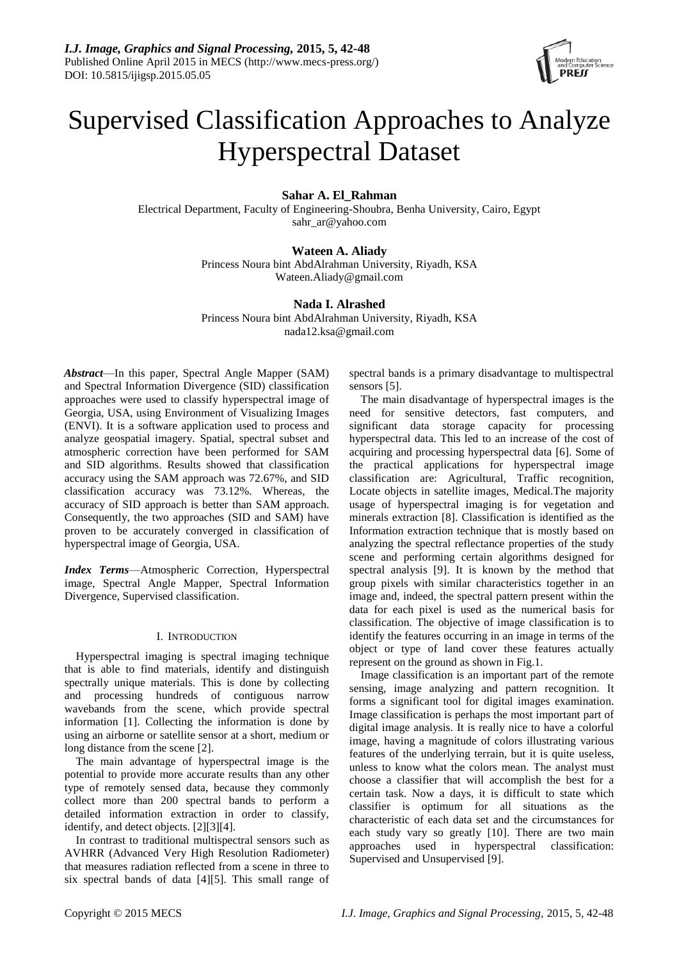

# Supervised Classification Approaches to Analyze Hyperspectral Dataset

# **Sahar A. El\_Rahman**

Electrical Department, Faculty of Engineering-Shoubra, Benha University, Cairo, Egypt sahr\_ar@yahoo.com

# **Wateen A. Aliady**

Princess Noura bint AbdAlrahman University, Riyadh, KSA Wateen.Aliady@gmail.com

## **Nada I. Alrashed**

Princess Noura bint AbdAlrahman University, Riyadh, KSA nada12.ksa@gmail.com

*Abstract*—In this paper, Spectral Angle Mapper (SAM) and Spectral Information Divergence (SID) classification approaches were used to classify hyperspectral image of Georgia, USA, using Environment of Visualizing Images (ENVI). It is a software application used to process and analyze geospatial imagery. Spatial, spectral subset and atmospheric correction have been performed for SAM and SID algorithms. Results showed that classification accuracy using the SAM approach was 72.67%, and SID classification accuracy was 73.12%. Whereas, the accuracy of SID approach is better than SAM approach. Consequently, the two approaches (SID and SAM) have proven to be accurately converged in classification of hyperspectral image of Georgia, USA.

*Index Terms*—Atmospheric Correction, Hyperspectral image, Spectral Angle Mapper, Spectral Information Divergence, Supervised classification.

#### I. INTRODUCTION

Hyperspectral imaging is spectral imaging technique that is able to find materials, identify and distinguish spectrally unique materials. This is done by collecting and processing hundreds of contiguous narrow wavebands from the scene, which provide spectral information [1]. Collecting the information is done by using an airborne or satellite sensor at a short, medium or long distance from the scene [2].

The main advantage of hyperspectral image is the potential to provide more accurate results than any other type of remotely sensed data, because they commonly collect more than 200 spectral bands to perform a detailed information extraction in order to classify, identify, and detect objects. [2][3][4].

In contrast to traditional multispectral sensors such as AVHRR (Advanced Very High Resolution Radiometer) that measures radiation reflected from a scene in three to six spectral bands of data [4][5]. This small range of

spectral bands is a primary disadvantage to multispectral sensors [5].

The main disadvantage of hyperspectral images is the need for sensitive detectors, fast computers, and significant data storage capacity for processing hyperspectral data. This led to an increase of the cost of acquiring and processing hyperspectral data [6]. Some of the practical applications for hyperspectral image classification are: Agricultural, Traffic recognition, Locate objects in satellite images, Medical.The majority usage of hyperspectral imaging is for vegetation and minerals extraction [8]. Classification is identified as the Information extraction technique that is mostly based on analyzing the spectral reflectance properties of the study scene and performing certain algorithms designed for spectral analysis [9]. It is known by the method that group pixels with similar characteristics together in an image and, indeed, the spectral pattern present within the data for each pixel is used as the numerical basis for classification. The objective of image classification is to identify the features occurring in an image in terms of the object or type of land cover these features actually represent on the ground as shown in Fig.1.

Image classification is an important part of the remote sensing, image analyzing and pattern recognition. It forms a significant tool for digital images examination. Image classification is perhaps the most important part of digital image analysis. It is really nice to have a colorful image, having a magnitude of colors illustrating various features of the underlying terrain, but it is quite useless, unless to know what the colors mean. The analyst must choose a classifier that will accomplish the best for a certain task. Now a days, it is difficult to state which classifier is optimum for all situations as the characteristic of each data set and the circumstances for each study vary so greatly [10]. There are two main approaches used in hyperspectral classification: Supervised and Unsupervised [9].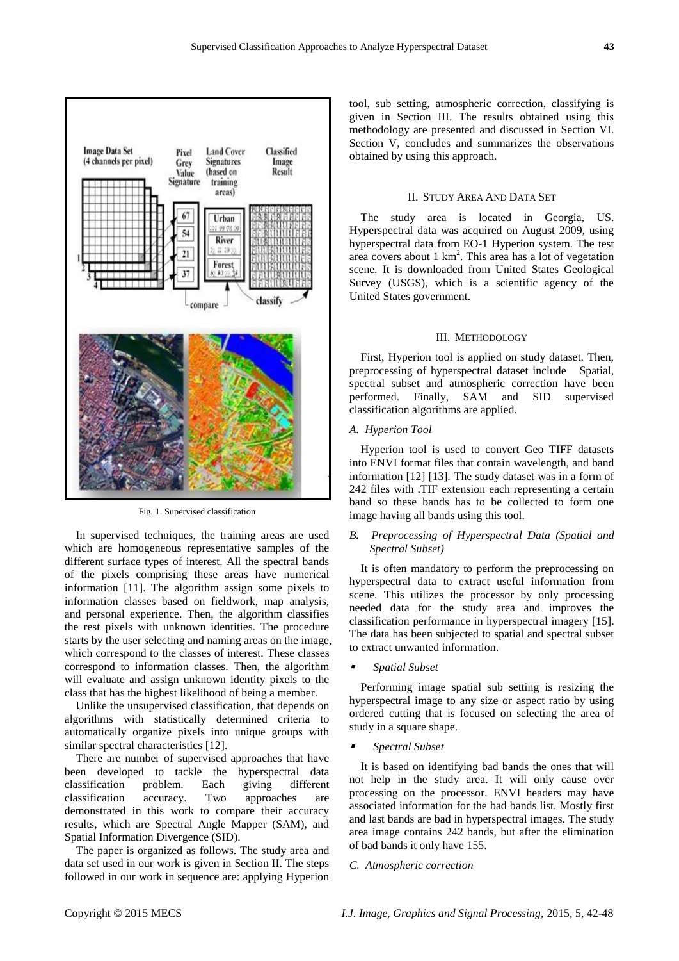

Fig. 1. Supervised classification

In supervised techniques, the training areas are used which are homogeneous representative samples of the different surface types of interest. All the spectral bands of the pixels comprising these areas have numerical information [11]. The algorithm assign some pixels to information classes based on fieldwork, map analysis, and personal experience. Then, the algorithm classifies the rest pixels with unknown identities. The procedure starts by the user selecting and naming areas on the image, which correspond to the classes of interest. These classes correspond to information classes. Then, the algorithm will evaluate and assign unknown identity pixels to the class that has the highest likelihood of being a member.

Unlike the unsupervised classification, that depends on algorithms with statistically determined criteria to automatically organize pixels into unique groups with similar spectral characteristics [12].

There are number of supervised approaches that have been developed to tackle the hyperspectral data classification problem. Each giving different classification accuracy. Two approaches are demonstrated in this work to compare their accuracy results, which are Spectral Angle Mapper (SAM), and Spatial Information Divergence (SID).

The paper is organized as follows. The study area and data set used in our work is given in Section II. The steps followed in our work in sequence are: applying Hyperion tool, sub setting, atmospheric correction, classifying is given in Section III. The results obtained using this methodology are presented and discussed in Section VI. Section V, concludes and summarizes the observations obtained by using this approach.

#### II. STUDY AREA AND DATA SET

The study area is located in Georgia, US. Hyperspectral data was acquired on August 2009, using hyperspectral data from EO-1 Hyperion system. The test area covers about 1 km<sup>2</sup> . This area has a lot of vegetation scene. It is downloaded from United States Geological Survey (USGS), which is a scientific agency of the [United States government.](http://en.wikipedia.org/wiki/United_States_government)

#### III. METHODOLOGY

First, Hyperion tool is applied on study dataset. Then, preprocessing of hyperspectral dataset include Spatial, spectral subset and atmospheric correction have been performed. Finally, SAM and SID supervised classification algorithms are applied.

#### *A. Hyperion Tool*

Hyperion tool is used to convert Geo TIFF datasets into ENVI format files that contain wavelength, and band information [12] [13]. The study dataset was in a form of 242 files with .TIF extension each representing a certain band so these bands has to be collected to form one image having all bands using this tool.

### *B. Preprocessing of Hyperspectral Data (Spatial and Spectral Subset)*

It is often mandatory to perform the preprocessing on hyperspectral data to extract useful information from scene. This utilizes the processor by only processing needed data for the study area and improves the classification performance in hyperspectral imagery [15]. The data has been subjected to spatial and spectral subset to extract unwanted information.

л *Spatial Subset* 

Performing image spatial sub setting is resizing the hyperspectral image to any size or aspect ratio by using ordered cutting that is focused on selecting the area of study in a square shape.

л *Spectral Subset* 

It is based on identifying bad bands the ones that will not help in the study area. It will only cause over processing on the processor. ENVI headers may have associated information for the bad bands list. Mostly first and last bands are bad in hyperspectral images. The study area image contains 242 bands, but after the elimination of bad bands it only have 155.

#### *C. Atmospheric correction*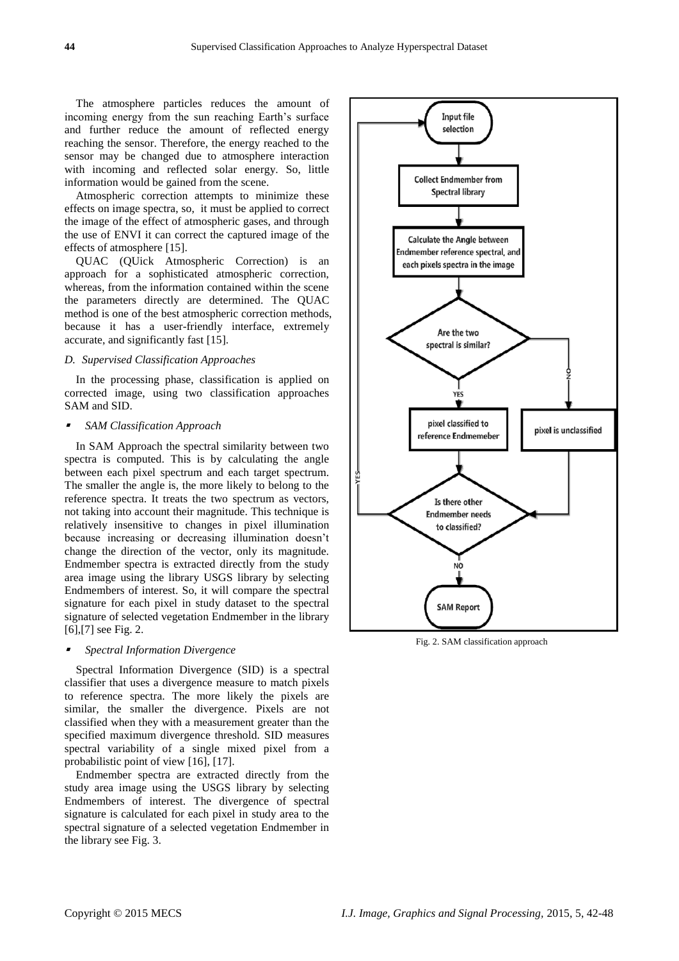The atmosphere particles reduces the amount of incoming energy from the sun reaching Earth's surface and further reduce the amount of reflected energy reaching the sensor. Therefore, the energy reached to the sensor may be changed due to atmosphere interaction with incoming and reflected solar energy. So, little information would be gained from the scene.

Atmospheric correction attempts to minimize these effects on image spectra, so, it must be applied to correct the image of the effect of atmospheric gases, and through the use of ENVI it can correct the captured image of the effects of atmosphere [15].

QUAC (QUick Atmospheric Correction) is an approach for a sophisticated atmospheric correction, whereas, from the information contained within the scene the parameters directly are determined. The QUAC method is one of the best atmospheric correction methods, because it has a user-friendly interface, extremely accurate, and significantly fast [15].

#### *D. Supervised Classification Approaches*

In the processing phase, classification is applied on corrected image, using two classification approaches SAM and SID.

#### *SAM Classification Approach*

In SAM Approach the spectral similarity between two spectra is computed. This is by calculating the angle between each pixel spectrum and each target spectrum. The smaller the angle is, the more likely to belong to the reference spectra. It treats the two spectrum as vectors, not taking into account their magnitude. This technique is relatively insensitive to changes in pixel illumination because increasing or decreasing illumination doesn't change the direction of the vector, only its magnitude. Endmember spectra is extracted directly from the study area image using the library USGS library by selecting Endmembers of interest. So, it will compare the spectral signature for each pixel in study dataset to the spectral signature of selected vegetation Endmember in the library [6], [7] see Fig. 2.

#### ■ *Spectral Information Divergence*

Spectral Information Divergence (SID) is a spectral classifier that uses a divergence measure to match pixels to reference spectra. The more likely the pixels are similar, the smaller the divergence. Pixels are not classified when they with a measurement greater than the specified maximum divergence threshold. SID measures spectral variability of a single mixed pixel from a probabilistic point of view [16], [17].

Endmember spectra are extracted directly from the study area image using the USGS library by selecting Endmembers of interest. The divergence of spectral signature is calculated for each pixel in study area to the spectral signature of a selected vegetation Endmember in the library see Fig. 3.



Fig. 2. SAM classification approach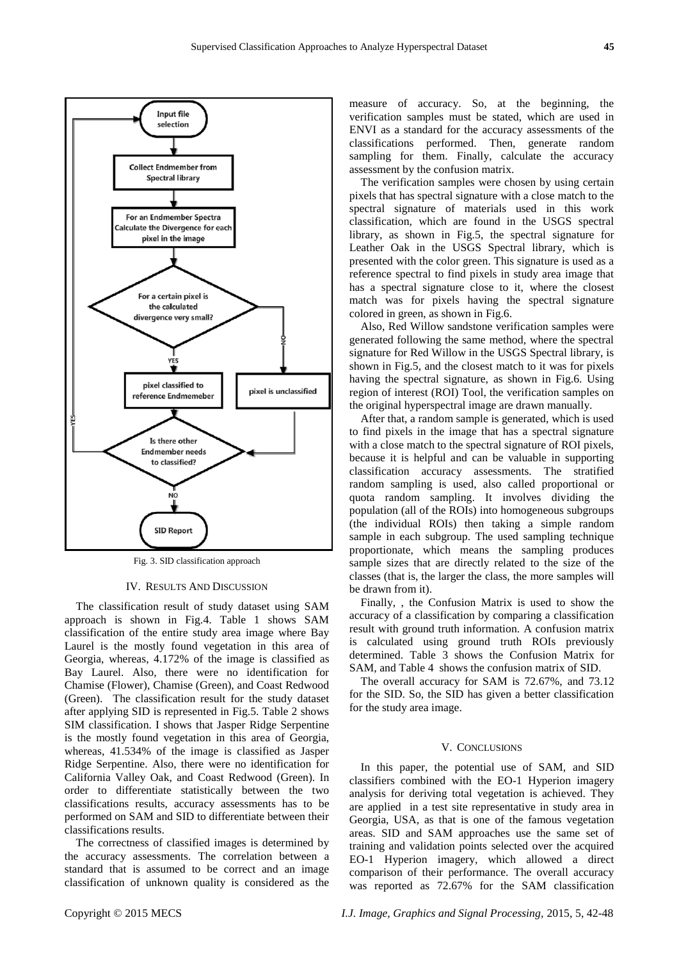

Fig. 3. SID classification approach

#### IV. RESULTS AND DISCUSSION

The classification result of study dataset using SAM approach is shown in Fig.4. Table 1 shows SAM classification of the entire study area image where Bay Laurel is the mostly found vegetation in this area of Georgia, whereas, 4.172% of the image is classified as Bay Laurel. Also, there were no identification for Chamise (Flower), Chamise (Green), and Coast Redwood (Green). The classification result for the study dataset after applying SID is represented in Fig.5. Table 2 shows SIM classification. I shows that Jasper Ridge Serpentine is the mostly found vegetation in this area of Georgia, whereas, 41.534% of the image is classified as Jasper Ridge Serpentine. Also, there were no identification for California Valley Oak, and Coast Redwood (Green). In order to differentiate statistically between the two classifications results, accuracy assessments has to be performed on SAM and SID to differentiate between their classifications results.

The correctness of classified images is determined by the accuracy assessments. The correlation between a standard that is assumed to be correct and an image classification of unknown quality is considered as the measure of accuracy. So, at the beginning, the verification samples must be stated, which are used in ENVI as a standard for the accuracy assessments of the classifications performed. Then, generate random sampling for them. Finally, calculate the accuracy assessment by the confusion matrix.

The verification samples were chosen by using certain pixels that has spectral signature with a close match to the spectral signature of materials used in this work classification, which are found in the USGS spectral library, as shown in Fig.5, the spectral signature for Leather Oak in the USGS Spectral library, which is presented with the color green. This signature is used as a reference spectral to find pixels in study area image that has a spectral signature close to it, where the closest match was for pixels having the spectral signature colored in green, as shown in Fig.6.

Also, Red Willow sandstone verification samples were generated following the same method, where the spectral signature for Red Willow in the USGS Spectral library, is shown in Fig.5, and the closest match to it was for pixels having the spectral signature, as shown in Fig.6. Using region of interest (ROI) Tool, the verification samples on the original hyperspectral image are drawn manually.

After that, a random sample is generated, which is used to find pixels in the image that has a spectral signature with a close match to the spectral signature of ROI pixels. because it is helpful and can be valuable in supporting classification accuracy assessments. The stratified random sampling is used, also called proportional or quota random sampling. It involves dividing the population (all of the ROIs) into homogeneous subgroups (the individual ROIs) then taking a simple random sample in each subgroup. The used sampling technique proportionate, which means the sampling produces sample sizes that are directly related to the size of the classes (that is, the larger the class, the more samples will be drawn from it).

Finally, , the Confusion Matrix is used to show the accuracy of a classification by comparing a classification result with ground truth information. A confusion matrix is calculated using ground truth ROIs previously determined. Table 3 shows the Confusion Matrix for SAM, and Table 4 shows the confusion matrix of SID.

The overall accuracy for SAM is 72.67%, and 73.12 for the SID. So, the SID has given a better classification for the study area image.

# V. CONCLUSIONS

In this paper, the potential use of SAM, and SID classifiers combined with the EO-1 Hyperion imagery analysis for deriving total vegetation is achieved. They are applied in a test site representative in study area in Georgia, USA, as that is one of the famous vegetation areas. SID and SAM approaches use the same set of training and validation points selected over the acquired EO-1 Hyperion imagery, which allowed a direct comparison of their performance. The overall accuracy was reported as 72.67% for the SAM classification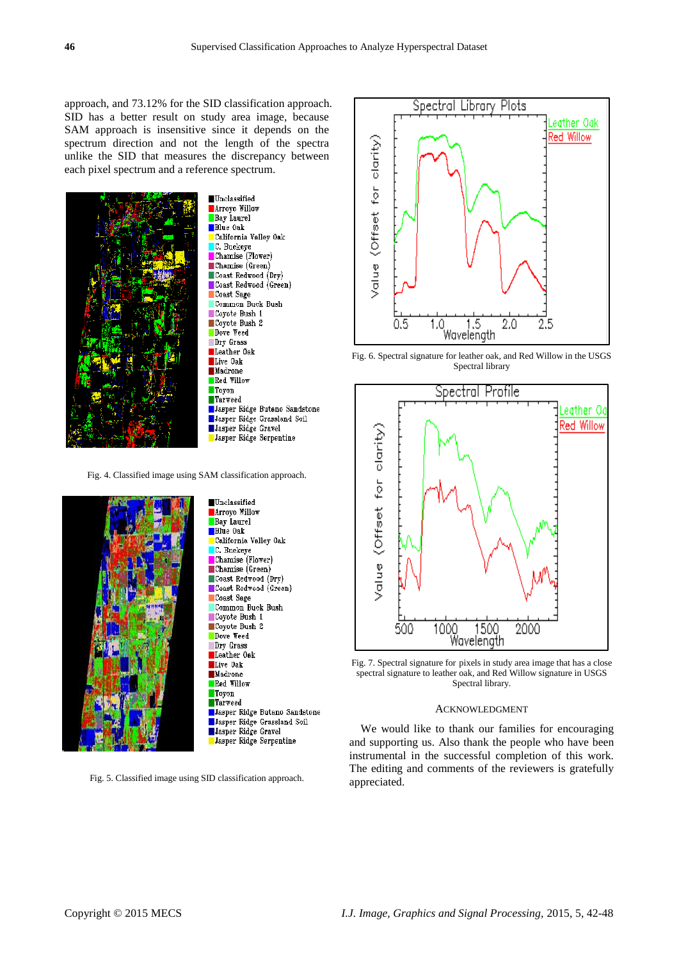approach, and 73.12% for the SID classification approach. SID has a better result on study area image, because SAM approach is insensitive since it depends on the spectrum direction and not the length of the spectra unlike the SID that measures the discrepancy between each pixel spectrum and a reference spectrum.



Arroyo Willow Bay Laurel **Blue** Oak California Valley Oak C. Buckeye Chamise (Flower)  $\blacksquare$ Chamise (Green) Coast Redwood (Dry) Coast Redwood (Green) Coast Sage Common Buck Bush Coyote Bush 1 Coyote Bush 2 Dove Weed Dry Grass Leather Oak Live Oak Madrone Red Willow Toyon **Tarweed Jasper Ridge Butano Sandstone** Jasper Ridge Grassland Soil Jasper Ridge Gravel Jasper Ridge Serpentine

Fig. 4. Classified image using SAM classification approach.



Fig. 5. Classified image using SID classification approach.



Fig. 6. Spectral signature for leather oak, and Red Willow in the USGS Spectral library



Fig. 7. Spectral signature for pixels in study area image that has a close spectral signature to leather oak, and Red Willow signature in USGS Spectral library.

#### ACKNOWLEDGMENT

We would like to thank our families for encouraging and supporting us. Also thank the people who have been instrumental in the successful completion of this work. The editing and comments of the reviewers is gratefully appreciated.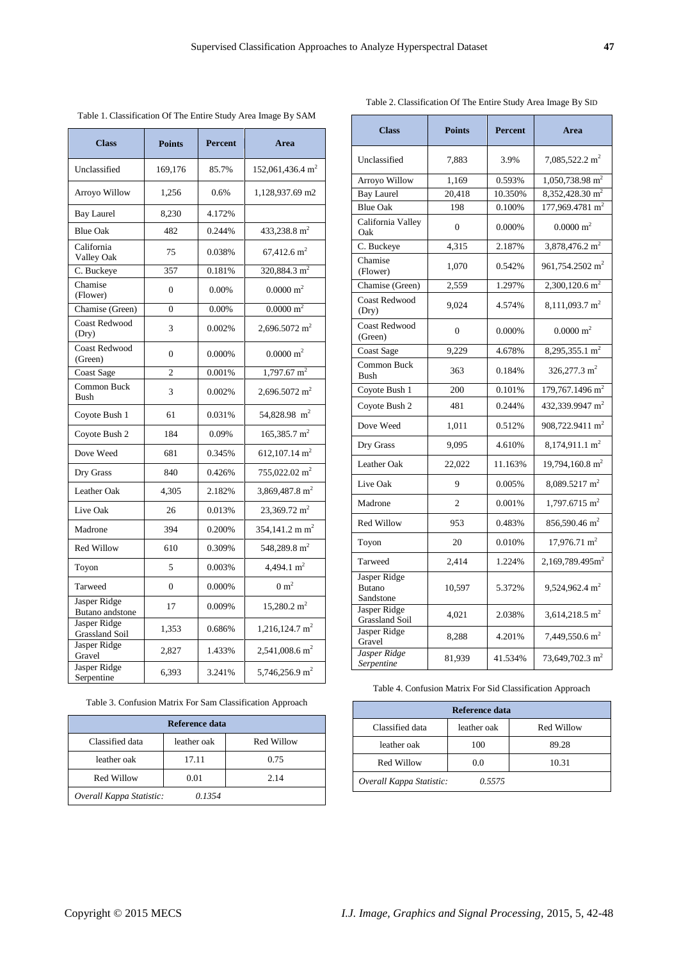*Overall Kappa Statistic: 0.1354*

| <b>Class</b>                    | <b>Points</b>  | <b>Percent</b> | Area                         |
|---------------------------------|----------------|----------------|------------------------------|
| Unclassified                    | 169,176        | 85.7%          | 152,061,436.4 m <sup>2</sup> |
| Arroyo Willow                   | 1,256          | 0.6%           | 1,128,937.69 m2              |
| <b>Bay Laurel</b>               | 8,230          | 4.172%         |                              |
| <b>Blue Oak</b>                 | 482            | 0.244%         | 433,238.8 $m2$               |
| California<br>Valley Oak        | 75             | 0.038%         | $67.412.6 \text{ m}^2$       |
| C. Buckeye                      | 357            | 0.181%         | $320,884.3 \text{ m}^2$      |
| Chamise<br>(Flower)             | $\Omega$       | $0.00\%$       | $0.0000 \; \mathrm{m}^2$     |
| Chamise (Green)                 | $\Omega$       | 0.00%          | $0.0000 \text{ m}^2$         |
| <b>Coast Redwood</b><br>(Dry)   | 3              | 0.002%         | 2,696.5072 $m2$              |
| <b>Coast Redwood</b><br>(Green) | $\theta$       | 0.000%         | $0.0000 \; \mathrm{m}^2$     |
| <b>Coast Sage</b>               | $\overline{c}$ | 0.001%         | $1,797.67$ m <sup>2</sup>    |
| Common Buck<br><b>Bush</b>      | 3              | 0.002%         | 2,696.5072 $m2$              |
| Coyote Bush 1                   | 61             | 0.031%         | 54,828.98 m <sup>2</sup>     |
| Coyote Bush 2                   | 184            | 0.09%          | $165,385.7 \text{ m}^2$      |
| Dove Weed                       | 681            | 0.345%         | 612,107.14 $m2$              |
| Dry Grass                       | 840            | 0.426%         | 755,022.02 $m2$              |
| Leather Oak                     | 4,305          | 2.182%         | 3,869,487.8 m <sup>2</sup>   |
| Live Oak                        | 26             | 0.013%         | 23,369.72 m <sup>2</sup>     |
| Madrone                         | 394            | 0.200%         | 354,141.2 m m <sup>2</sup>   |
| Red Willow                      | 610            | 0.309%         | 548.289.8 m <sup>2</sup>     |
| Toyon                           | 5              | 0.003%         | 4,494.1 $m^2$                |
| Tarweed                         | $\mathbf{0}$   | 0.000%         | $0 \text{ m}^2$              |
| Jasper Ridge<br>Butano andstone | 17             | 0.009%         | $15,280.2 \text{ m}^2$       |
| Jasper Ridge<br>Grassland Soil  | 1,353          | 0.686%         | $1,216,124.7 \text{ m}^2$    |
| Jasper Ridge<br>Gravel          | 2,827          | 1.433%         | 2,541,008.6 m <sup>2</sup>   |

Jasper Ridge Serpentine 6,393 3.241% 5,746,256.9 m

Table 3. Confusion Matrix For Sam Classification Approach **Reference data** Classified data leather oak Red Willow leather oak 17.11 0.75 Red Willow 0.01 2.14

5,746,256.9 m<sup>2</sup>

Table 1. Classification Of The Entire Study Area Image By SAM

| <b>Class</b>                               | <b>Points</b>  | <b>Percent</b> | Area                          |
|--------------------------------------------|----------------|----------------|-------------------------------|
| Unclassified                               | 7,883          | 3.9%           | $7,085,522.2 \text{ m}^2$     |
| Arroyo Willow                              | 1,169          | 0.593%         | $1,050,738.98$ m <sup>2</sup> |
| <b>Bay Laurel</b>                          | 20,418         | 10.350%        | 8,352,428.30 m <sup>2</sup>   |
| <b>Blue Oak</b>                            | 198            | 0.100%         | 177,969.4781 m <sup>2</sup>   |
| California Valley<br>Oak                   | $\theta$       | 0.000%         | $0.0000 \; \mathrm{m}^2$      |
| C. Buckeye                                 | 4,315          | 2.187%         | 3,878,476.2 m <sup>2</sup>    |
| Chamise<br>(Flower)                        | 1,070          | 0.542%         | 961,754.2502 m <sup>2</sup>   |
| Chamise (Green)                            | 2,559          | 1.297%         | $2,300,120.6$ m <sup>2</sup>  |
| <b>Coast Redwood</b><br>(Dry)              | 9,024          | 4.574%         | 8,111,093.7 m <sup>2</sup>    |
| <b>Coast Redwood</b><br>(Green)            | $\overline{0}$ | 0.000%         | $0.0000 \; \mathrm{m}^2$      |
| <b>Coast Sage</b>                          | 9,229          | 4.678%         | $8,295,355.1 \text{ m}^2$     |
| Common Buck<br><b>Bush</b>                 | 363            | 0.184%         | $326,277.3 \text{ m}^2$       |
| Coyote Bush 1                              | 200            | 0.101%         | 179,767.1496 m <sup>2</sup>   |
| Coyote Bush 2                              | 481            | 0.244%         | 432,339.9947 m <sup>2</sup>   |
| Dove Weed                                  | 1,011          | 0.512%         | 908,722.9411 m <sup>2</sup>   |
| Dry Grass                                  | 9,095          | 4.610%         | $8,174,911.1 \text{ m}^2$     |
| Leather Oak                                | 22,022         | 11.163%        | $19.794.160.8 \text{ m}^2$    |
| Live Oak                                   | 9              | 0.005%         | 8,089.5217 m <sup>2</sup>     |
| Madrone                                    | $\overline{c}$ | 0.001%         | $1.797.6715 \text{ m}^2$      |
| Red Willow                                 | 953            | 0.483%         | 856,590.46 m <sup>2</sup>     |
| Toyon                                      | 20             | 0.010%         | $17,976.71 \text{ m}^2$       |
| Tarweed                                    | 2,414          | 1.224%         | 2,169,789.495m <sup>2</sup>   |
| Jasper Ridge<br><b>Butano</b><br>Sandstone | 10,597         | 5.372%         | 9,524,962.4 m <sup>2</sup>    |
| Jasper Ridge<br>Grassland Soil             | 4,021          | 2.038%         | 3,614,218.5 m <sup>2</sup>    |
| Jasper Ridge<br>Gravel                     | 8,288          | 4.201%         | $7,449,550.6$ m <sup>2</sup>  |
| Jasper Ridge<br>Serpentine                 | 81,939         | 41.534%        | 73,649,702.3 m <sup>2</sup>   |

Table 4. Confusion Matrix For Sid Classification Approach

| Reference data                     |             |            |  |  |  |
|------------------------------------|-------------|------------|--|--|--|
| Classified data                    | leather oak | Red Willow |  |  |  |
| leather oak                        | 100         | 89.28      |  |  |  |
| Red Willow                         | 0.0         | 10.31      |  |  |  |
| 0.5575<br>Overall Kappa Statistic: |             |            |  |  |  |

Table 2. Classification Of The Entire Study Area Image By SID